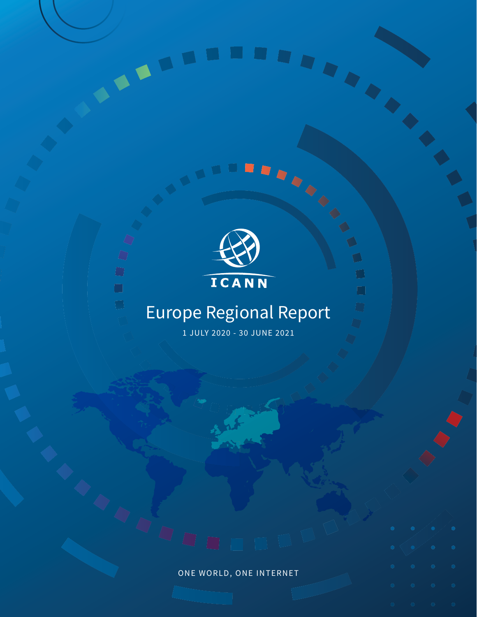

 $\bigcirc$  $\Box$ 

 $\Box$ 



 $\Box$ 

 $\Box$ 

# Europe Regional Report

1 JULY 2020 - 30 JUNE 2021

# ONE WORLD, ONE INTERNET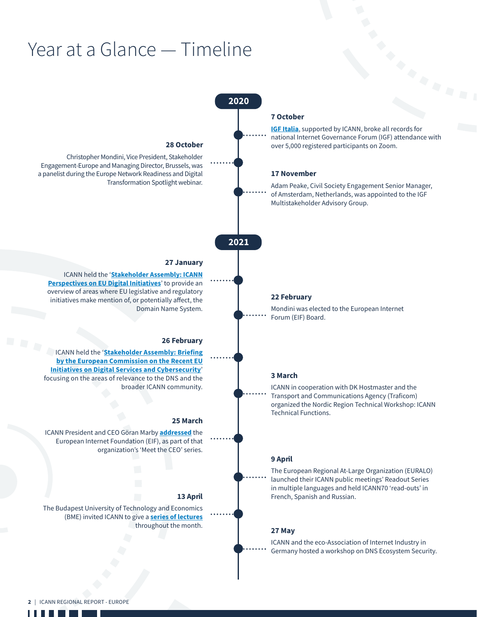# Year at a Glance — Timeline



ш a ka ×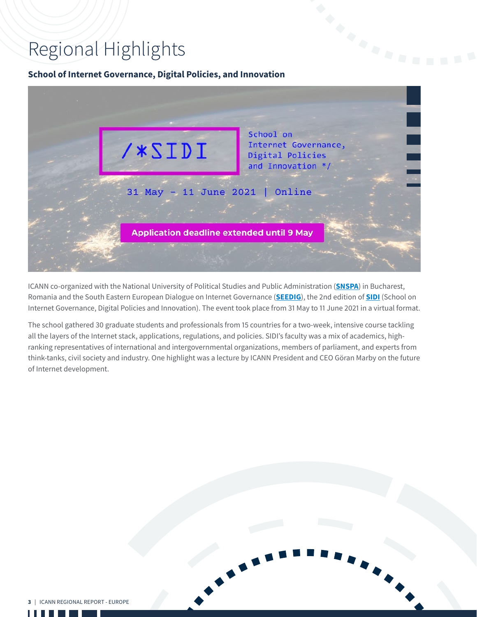# Regional Highlights

# **School of Internet Governance, Digital Policies, and Innovation**

| /*SIDI                                           | School on<br>Internet Governance,<br>Digital Policies<br>and Innovation */ |
|--------------------------------------------------|----------------------------------------------------------------------------|
| 31 May - 11 June 2021   Online                   |                                                                            |
| <b>Application deadline extended until 9 May</b> |                                                                            |
|                                                  |                                                                            |

ICANN co-organized with the National University of Political Studies and Public Administration (**[SNSPA](http://snspa.ro/)**) in Bucharest, Romania and the South Eastern European Dialogue on Internet Governance (**[SEEDIG](https://seedig.net/)**), the 2nd edition of **[SIDI](https://administratiepublica.eu/sidi/)** (School on Internet Governance, Digital Policies and Innovation). The event took place from 31 May to 11 June 2021 in a virtual format.

The school gathered 30 graduate students and professionals from 15 countries for a two-week, intensive course tackling all the layers of the Internet stack, applications, regulations, and policies. SIDI's faculty was a mix of academics, highranking representatives of international and intergovernmental organizations, members of parliament, and experts from think-tanks, civil society and industry. One highlight was a lecture by ICANN President and CEO Göran Marby on the future of Internet development.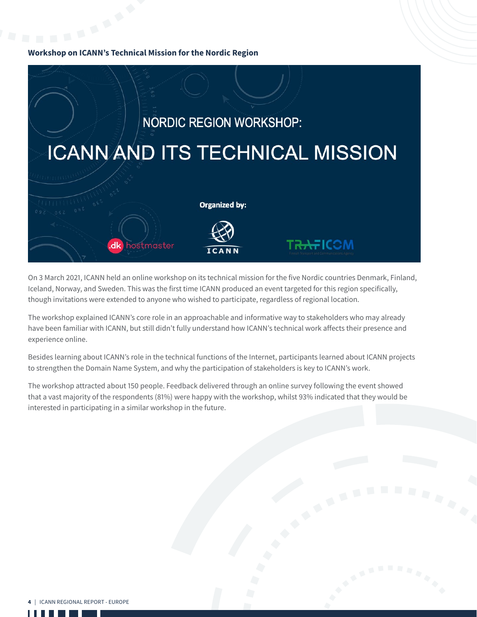# **Workshop on ICANN's Technical Mission for the Nordic Region**



On 3 March 2021, ICANN held an online workshop on its technical mission for the five Nordic countries Denmark, Finland, Iceland, Norway, and Sweden. This was the first time ICANN produced an event targeted for this region specifically, though invitations were extended to anyone who wished to participate, regardless of regional location.

The workshop explained ICANN's core role in an approachable and informative way to stakeholders who may already have been familiar with ICANN, but still didn't fully understand how ICANN's technical work affects their presence and experience online.

Besides learning about ICANN's role in the technical functions of the Internet, participants learned about ICANN projects to strengthen the Domain Name System, and why the participation of stakeholders is key to ICANN's work.

The workshop attracted about 150 people. Feedback delivered through an online survey following the event showed that a vast majority of the respondents (81%) were happy with the workshop, whilst 93% indicated that they would be interested in participating in a similar workshop in the future.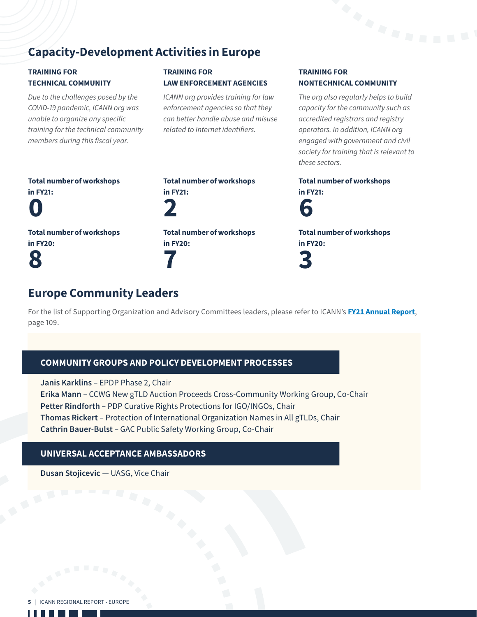# Capacity-Development Activities in Europe

# TRAINING FOR TECHNICAL COMMUNITY

*Due to the challenges posed by the COVID-19 pandemic, ICANN org was unable to organize any specific training for the technical community members during this fiscal year.*

# TRAINING FOR LAW ENFORCEMENT AGENCIES

*ICANN org provides training for law enforcement agencies so that they can better handle abuse and misuse related to Internet identifiers.*

## TRAINING FOR NONTECHNICAL COMMUNITY

*The org also regularly helps to build capacity for the community such as accredited registrars and registry operators. In addition, ICANN org engaged with government and civil society for training that is relevant to these sectors.*

Total number of workshops in FY21:



Total number of workshops in FY20: 3

Total number of workshops in FY21:

Total number of workshops

 $\mathbf{\mathsf{N}}$ 

in FY20: 8

2 Total number of workshops in FY20: 7

Total number of workshops

in FY21:

# Europe Community Leaders

For the list of Supporting Organization and Advisory Committees leaders, please refer to ICANN's **[FY21 Annual Report](https://www.icann.org/en/system/files/files/annual-report-2021-en.pdf)**, page 109.

# COMMUNITY GROUPS AND POLICY DEVELOPMENT PROCESSES

**Janis Karklins** – EPDP Phase 2, Chair **Erika Mann** – CCWG New gTLD Auction Proceeds Cross-Community Working Group, Co-Chair **Petter Rindforth** – PDP Curative Rights Protections for IGO/INGOs, Chair **Thomas Rickert** – Protection of International Organization Names in All gTLDs, Chair **Cathrin Bauer-Bulst** – GAC Public Safety Working Group, Co-Chair

# UNIVERSAL ACCEPTANCE AMBASSADORS

**Dusan Stojicevic** — UASG, Vice Chair



H